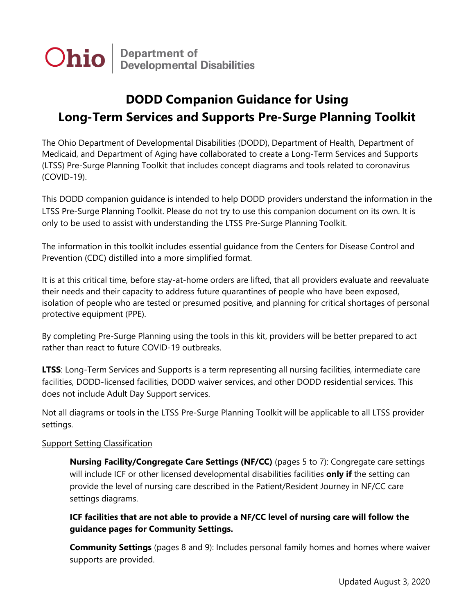**Department of<br>Developmental Disabilities** Ohio

# **DODD Companion Guidance for Using Long-Term Services and Supports Pre-Surge Planning Toolkit**

The Ohio Department of Developmental Disabilities (DODD), Department of Health, Department of Medicaid, and Department of Aging have collaborated to create a Long-Term Services and Supports (LTSS) Pre-Surge Planning Toolkit that includes concept diagrams and tools related to coronavirus (COVID-19).

This DODD companion guidance is intended to help DODD providers understand the information in the LTSS Pre-Surge Planning Toolkit. Please do not try to use this companion document on its own. It is only to be used to assist with understanding the LTSS Pre-Surge Planning Toolkit.

The information in this toolkit includes essential guidance from the Centers for Disease Control and Prevention (CDC) distilled into a more simplified format.

It is at this critical time, before stay-at-home orders are lifted, that all providers evaluate and reevaluate their needs and their capacity to address future quarantines of people who have been exposed, isolation of people who are tested or presumed positive, and planning for critical shortages of personal protective equipment (PPE).

By completing Pre-Surge Planning using the tools in this kit, providers will be better prepared to act rather than react to future COVID-19 outbreaks.

**LTSS**: Long-Term Services and Supports is a term representing all nursing facilities, intermediate care facilities, DODD-licensed facilities, DODD waiver services, and other DODD residential services. This does not include Adult Day Support services.

Not all diagrams or tools in the LTSS Pre-Surge Planning Toolkit will be applicable to all LTSS provider settings.

## **Support Setting Classification**

**Nursing Facility/Congregate Care Settings (NF/CC)** (pages 5 to 7): Congregate care settings will include ICF or other licensed developmental disabilities facilities **only if** the setting can provide the level of nursing care described in the Patient/Resident Journey in NF/CC care settings diagrams.

**ICF facilities that are not able to provide a NF/CC level of nursing care will follow the guidance pages for Community Settings.**

**Community Settings** (pages 8 and 9): Includes personal family homes and homes where waiver supports are provided.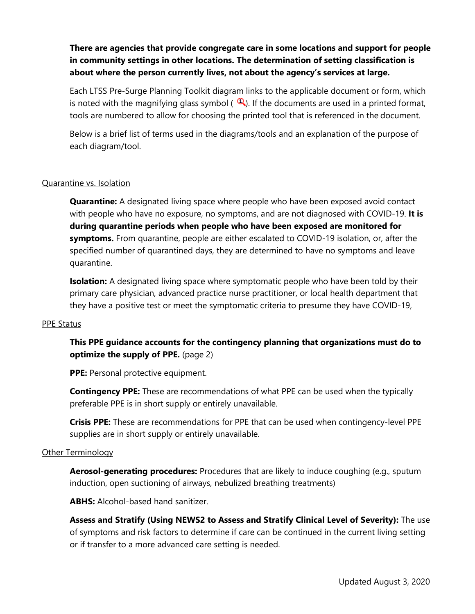## **There are agencies that provide congregate care in some locations and support for people in community settings in other locations. The determination of setting classification is about where the person currently lives, not about the agency's services at large.**

Each LTSS Pre-Surge Planning Toolkit diagram links to the applicable document or form, which is noted with the magnifying glass symbol ( $\mathbb{Q}$ ). If the documents are used in a printed format, tools are numbered to allow for choosing the printed tool that is referenced in the document.

Below is a brief list of terms used in the diagrams/tools and an explanation of the purpose of each diagram/tool.

### Quarantine vs. Isolation

**Quarantine:** A designated living space where people who have been exposed avoid contact with people who have no exposure, no symptoms, and are not diagnosed with COVID-19. **It is during quarantine periods when people who have been exposed are monitored for symptoms.** From quarantine, people are either escalated to COVID-19 isolation, or, after the specified number of quarantined days, they are determined to have no symptoms and leave quarantine.

**Isolation:** A designated living space where symptomatic people who have been told by their primary care physician, advanced practice nurse practitioner, or local health department that they have a positive test or meet the symptomatic criteria to presume they have COVID-19,

#### PPE Status

**This PPE guidance accounts for the contingency planning that organizations must do to optimize the supply of PPE.** (page 2)

**PPE:** Personal protective equipment.

**Contingency PPE:** These are recommendations of what PPE can be used when the typically preferable PPE is in short supply or entirely unavailable.

**Crisis PPE:** These are recommendations for PPE that can be used when contingency-level PPE supplies are in short supply or entirely unavailable.

#### Other Terminology

**Aerosol-generating procedures:** Procedures that are likely to induce coughing (e.g., sputum induction, open suctioning of airways, nebulized breathing treatments)

**ABHS:** Alcohol-based hand sanitizer.

**Assess and Stratify (Using NEWS2 to Assess and Stratify Clinical Level of Severity):** The use of symptoms and risk factors to determine if care can be continued in the current living setting or if transfer to a more advanced care setting is needed.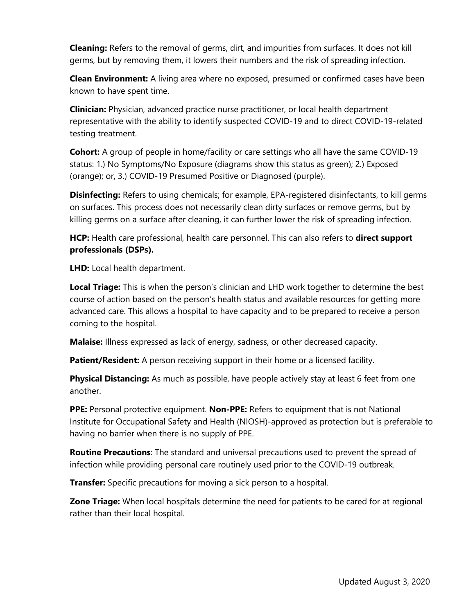**Cleaning:** Refers to the removal of germs, dirt, and impurities from surfaces. It does not kill germs, but by removing them, it lowers their numbers and the risk of spreading infection.

**Clean Environment:** A living area where no exposed, presumed or confirmed cases have been known to have spent time.

**Clinician:** Physician, advanced practice nurse practitioner, or local health department representative with the ability to identify suspected COVID-19 and to direct COVID-19-related testing treatment.

**Cohort:** A group of people in home/facility or care settings who all have the same COVID-19 status: 1.) No Symptoms/No Exposure (diagrams show this status as green); 2.) Exposed (orange); or, 3.) COVID-19 Presumed Positive or Diagnosed (purple).

**Disinfecting:** Refers to using chemicals; for example, EPA-registered disinfectants, to kill germs on surfaces. This process does not necessarily clean dirty surfaces or remove germs, but by killing germs on a surface after cleaning, it can further lower the risk of spreading infection.

**HCP:** Health care professional, health care personnel. This can also refers to **direct support professionals (DSPs).**

**LHD:** Local health department.

**Local Triage:** This is when the person's clinician and LHD work together to determine the best course of action based on the person's health status and available resources for getting more advanced care. This allows a hospital to have capacity and to be prepared to receive a person coming to the hospital.

**Malaise:** Illness expressed as lack of energy, sadness, or other decreased capacity.

**Patient/Resident:** A person receiving support in their home or a licensed facility.

**Physical Distancing:** As much as possible, have people actively stay at least 6 feet from one another.

**PPE:** Personal protective equipment. **Non-PPE:** Refers to equipment that is not National Institute for Occupational Safety and Health (NIOSH)-approved as protection but is preferable to having no barrier when there is no supply of PPE.

**Routine Precautions**: The standard and universal precautions used to prevent the spread of infection while providing personal care routinely used prior to the COVID-19 outbreak.

**Transfer:** Specific precautions for moving a sick person to a hospital.

**Zone Triage:** When local hospitals determine the need for patients to be cared for at regional rather than their local hospital.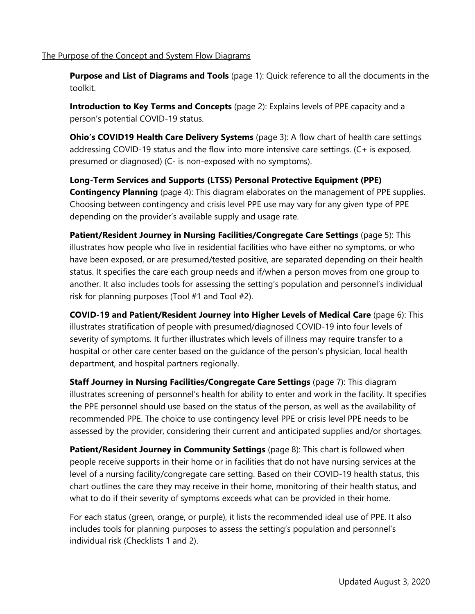#### The Purpose of the Concept and System Flow Diagrams

**Purpose and List of Diagrams and Tools** (page 1): Quick reference to all the documents in the toolkit.

**Introduction to Key Terms and Concepts** (page 2): Explains levels of PPE capacity and a person's potential COVID-19 status.

**Ohio's COVID19 Health Care Delivery Systems** (page 3): A flow chart of health care settings addressing COVID-19 status and the flow into more intensive care settings. (C+ is exposed, presumed or diagnosed) (C- is non-exposed with no symptoms).

**Long-Term Services and Supports (LTSS) Personal Protective Equipment (PPE) Contingency Planning** (page 4): This diagram elaborates on the management of PPE supplies. Choosing between contingency and crisis level PPE use may vary for any given type of PPE depending on the provider's available supply and usage rate.

**Patient/Resident Journey in Nursing Facilities/Congregate Care Settings (page 5): This** illustrates how people who live in residential facilities who have either no symptoms, or who have been exposed, or are presumed/tested positive, are separated depending on their health status. It specifies the care each group needs and if/when a person moves from one group to another. It also includes tools for assessing the setting's population and personnel's individual risk for planning purposes (Tool #1 and Tool #2).

**COVID-19 and Patient/Resident Journey into Higher Levels of Medical Care** (page 6): This illustrates stratification of people with presumed/diagnosed COVID-19 into four levels of severity of symptoms. It further illustrates which levels of illness may require transfer to a hospital or other care center based on the guidance of the person's physician, local health department, and hospital partners regionally.

**Staff Journey in Nursing Facilities/Congregate Care Settings** (page 7): This diagram illustrates screening of personnel's health for ability to enter and work in the facility. It specifies the PPE personnel should use based on the status of the person, as well as the availability of recommended PPE. The choice to use contingency level PPE or crisis level PPE needs to be assessed by the provider, considering their current and anticipated supplies and/or shortages.

**Patient/Resident Journey in Community Settings** (page 8): This chart is followed when people receive supports in their home or in facilities that do not have nursing services at the level of a nursing facility/congregate care setting. Based on their COVID-19 health status, this chart outlines the care they may receive in their home, monitoring of their health status, and what to do if their severity of symptoms exceeds what can be provided in their home.

For each status (green, orange, or purple), it lists the recommended ideal use of PPE. It also includes tools for planning purposes to assess the setting's population and personnel's individual risk (Checklists 1 and 2).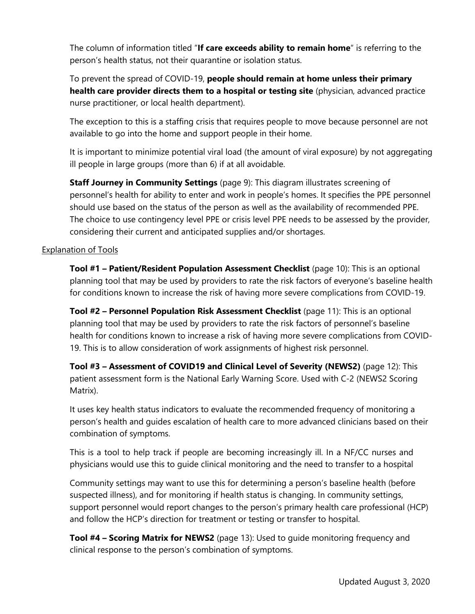The column of information titled "**If care exceeds ability to remain home**" is referring to the person's health status, not their quarantine or isolation status.

To prevent the spread of COVID-19, **people should remain at home unless their primary health care provider directs them to a hospital or testing site** (physician, advanced practice nurse practitioner, or local health department).

The exception to this is a staffing crisis that requires people to move because personnel are not available to go into the home and support people in their home.

It is important to minimize potential viral load (the amount of viral exposure) by not aggregating ill people in large groups (more than 6) if at all avoidable.

**Staff Journey in Community Settings** (page 9): This diagram illustrates screening of personnel's health for ability to enter and work in people's homes. It specifies the PPE personnel should use based on the status of the person as well as the availability of recommended PPE. The choice to use contingency level PPE or crisis level PPE needs to be assessed by the provider, considering their current and anticipated supplies and/or shortages.

## Explanation of Tools

**Tool #1 - Patient/Resident Population Assessment Checklist** (page 10): This is an optional planning tool that may be used by providers to rate the risk factors of everyone's baseline health for conditions known to increase the risk of having more severe complications from COVID-19.

**Tool #2 – Personnel Population Risk Assessment Checklist** (page 11): This is an optional planning tool that may be used by providers to rate the risk factors of personnel's baseline health for conditions known to increase a risk of having more severe complications from COVID-19. This is to allow consideration of work assignments of highest risk personnel.

**Tool #3 – Assessment of COVID19 and Clinical Level of Severity (NEWS2)** (page 12): This patient assessment form is the National Early Warning Score. Used with C-2 (NEWS2 Scoring Matrix).

It uses key health status indicators to evaluate the recommended frequency of monitoring a person's health and guides escalation of health care to more advanced clinicians based on their combination of symptoms.

This is a tool to help track if people are becoming increasingly ill. In a NF/CC nurses and physicians would use this to guide clinical monitoring and the need to transfer to a hospital

Community settings may want to use this for determining a person's baseline health (before suspected illness), and for monitoring if health status is changing. In community settings, support personnel would report changes to the person's primary health care professional (HCP) and follow the HCP's direction for treatment or testing or transfer to hospital.

**Tool #4 – Scoring Matrix for NEWS2** (page 13): Used to guide monitoring frequency and clinical response to the person's combination of symptoms.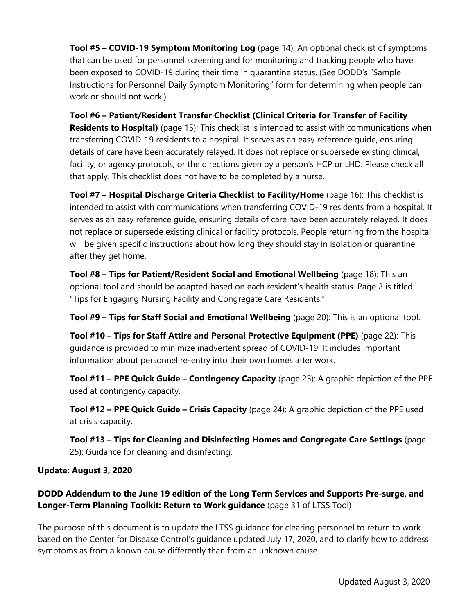**Tool #5 – COVID-19 Symptom Monitoring Log** (page 14): An optional checklist of symptoms that can be used for personnel screening and for monitoring and tracking people who have been exposed to COVID-19 during their time in quarantine status. (See DODD's "Sample Instructions for Personnel Daily Symptom Monitoring" form for determining when people can work or should not work.)

**Tool #6 – Patient/Resident Transfer Checklist (Clinical Criteria for Transfer of Facility Residents to Hospital)** (page 15): This checklist is intended to assist with communications when transferring COVID-19 residents to a hospital. It serves as an easy reference guide, ensuring details of care have been accurately relayed. It does not replace or supersede existing clinical, facility, or agency protocols, or the directions given by a person's HCP or LHD. Please check all that apply. This checklist does not have to be completed by a nurse.

**Tool #7 – Hospital Discharge Criteria Checklist to Facility/Home** (page 16): This checklist is intended to assist with communications when transferring COVID-19 residents from a hospital. It serves as an easy reference guide, ensuring details of care have been accurately relayed. It does not replace or supersede existing clinical or facility protocols. People returning from the hospital will be given specific instructions about how long they should stay in isolation or quarantine after they get home.

**Tool #8 – Tips for Patient/Resident Social and Emotional Wellbeing** (page 18): This an optional tool and should be adapted based on each resident's health status. Page 2 is titled "Tips for Engaging Nursing Facility and Congregate Care Residents."

**Tool #9 – Tips for Staff Social and Emotional Wellbeing** (page 20): This is an optional tool.

**Tool #10 – Tips for Staff Attire and Personal Protective Equipment (PPE)** (page 22): This guidance is provided to minimize inadvertent spread of COVID-19. It includes important information about personnel re-entry into their own homes after work.

**Tool #11 – PPE Quick Guide – Contingency Capacity** (page 23): A graphic depiction of the PPE used at contingency capacity.

**Tool #12 – PPE Quick Guide – Crisis Capacity** (page 24): A graphic depiction of the PPE used at crisis capacity.

**Tool #13 – Tips for Cleaning and Disinfecting Homes and Congregate Care Settings** (page 25): Guidance for cleaning and disinfecting.

## **Update: August 3, 2020**

**DODD Addendum to the June 19 edition of the Long Term Services and Supports Pre-surge, and Longer-Term Planning Toolkit: Return to Work guidance** (page 31 of LTSS Tool)

The purpose of this document is to update the LTSS guidance for clearing personnel to return to work based on the Center for Disease Control's guidance updated July 17, 2020, and to clarify how to address symptoms as from a known cause differently than from an unknown cause.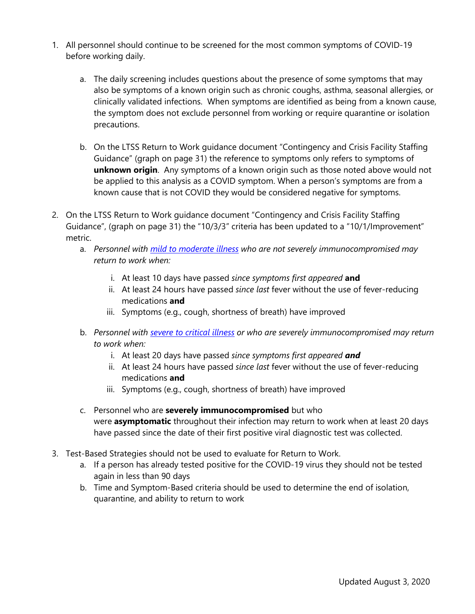- 1. All personnel should continue to be screened for the most common symptoms of COVID-19 before working daily.
	- a. The daily screening includes questions about the presence of some symptoms that may also be symptoms of a known origin such as chronic coughs, asthma, seasonal allergies, or clinically validated infections. When symptoms are identified as being from a known cause, the symptom does not exclude personnel from working or require quarantine or isolation precautions.
	- b. On the LTSS Return to Work guidance document "Contingency and Crisis Facility Staffing Guidance" (graph on page 31) the reference to symptoms only refers to symptoms of **unknown origin**. Any symptoms of a known origin such as those noted above would not be applied to this analysis as a COVID symptom. When a person's symptoms are from a known cause that is not COVID they would be considered negative for symptoms.
- 2. On the LTSS Return to Work guidance document "Contingency and Crisis Facility Staffing Guidance", (graph on page 31) the "10/3/3" criteria has been updated to a "10/1/Improvement" metric.
	- a. *Personnel with [mild to moderate illness](https://www.cdc.gov/coronavirus/2019-ncov/hcp/return-to-work.html#definition) who are not severely immunocompromised may return to work when:*
		- i. At least 10 days have passed *since symptoms first appeared* **and**
		- ii. At least 24 hours have passed *since last* fever without the use of fever-reducing medications **and**
		- iii. Symptoms (e.g., cough, shortness of breath) have improved
	- b. *Personnel with [severe to critical illness](https://www.cdc.gov/coronavirus/2019-ncov/hcp/return-to-work.html#severe-illness) or who are severely immunocompromised may return to work when:*
		- i. At least 20 days have passed *since symptoms first appeared and*
		- ii. At least 24 hours have passed *since last* fever without the use of fever-reducing medications **and**
		- iii. Symptoms (e.g., cough, shortness of breath) have improved
	- c. Personnel who are **severely immunocompromised** but who were **asymptomatic** throughout their infection may return to work when at least 20 days have passed since the date of their first positive viral diagnostic test was collected.
- 3. Test-Based Strategies should not be used to evaluate for Return to Work.
	- a. If a person has already tested positive for the COVID-19 virus they should not be tested again in less than 90 days
	- b. Time and Symptom-Based criteria should be used to determine the end of isolation, quarantine, and ability to return to work